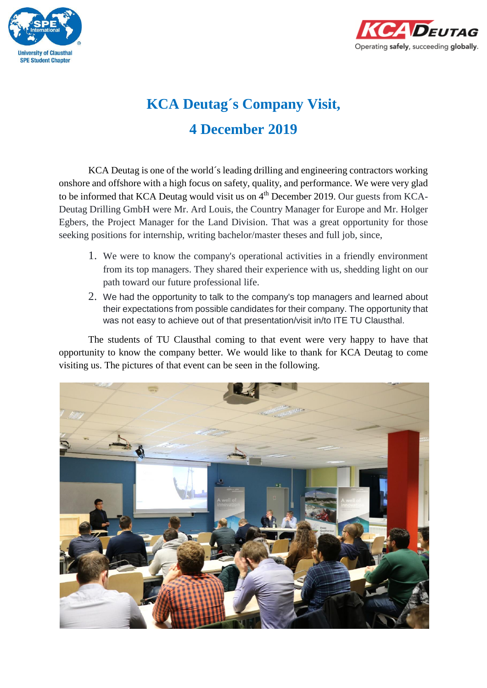



## **KCA Deutag´s Company Visit, 4 December 2019**

KCA Deutag is one of the world´s leading drilling and engineering contractors working onshore and offshore with a high focus on safety, quality, and performance. We were very glad to be informed that KCA Deutag would visit us on  $4<sup>th</sup>$  December 2019. Our guests from KCA-Deutag Drilling GmbH were Mr. Ard Louis, the Country Manager for Europe and Mr. Holger Egbers, the Project Manager for the Land Division. That was a great opportunity for those seeking positions for internship, writing bachelor/master theses and full job, since,

- 1. We were to know the company's operational activities in a friendly environment from its top managers. They shared their experience with us, shedding light on our path toward our future professional life.
- 2. We had the opportunity to talk to the company's top managers and learned about their expectations from possible candidates for their company. The opportunity that was not easy to achieve out of that presentation/visit in/to ITE TU Clausthal.

The students of TU Clausthal coming to that event were very happy to have that opportunity to know the company better. We would like to thank for KCA Deutag to come visiting us. The pictures of that event can be seen in the following.